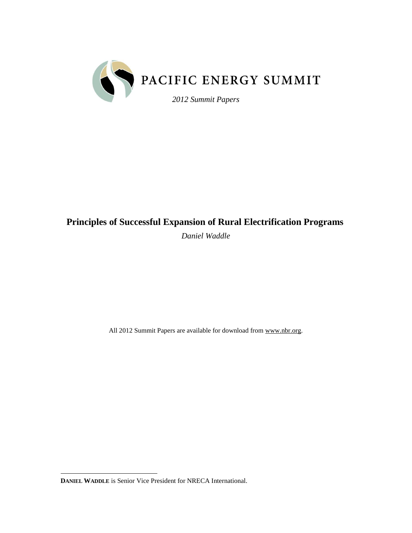

# **Principles of Successful Expansion of Rural Electrification Programs**

*Daniel Waddle*

All 2012 Summit Papers are available for download from www.nbr.org.

 $\overline{a}$ **DANIEL WADDLE** is Senior Vice President for NRECA International.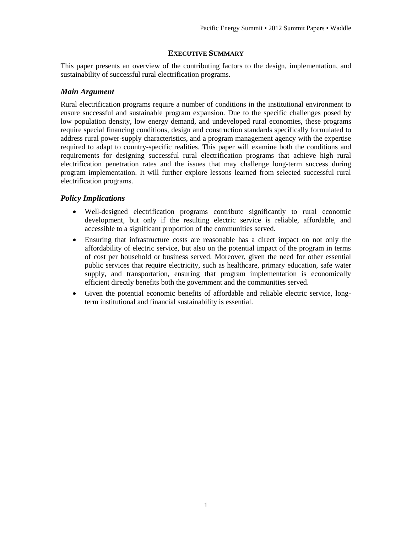# **EXECUTIVE SUMMARY**

This paper presents an overview of the contributing factors to the design, implementation, and sustainability of successful rural electrification programs.

## *Main Argument*

Rural electrification programs require a number of conditions in the institutional environment to ensure successful and sustainable program expansion. Due to the specific challenges posed by low population density, low energy demand, and undeveloped rural economies, these programs require special financing conditions, design and construction standards specifically formulated to address rural power-supply characteristics, and a program management agency with the expertise required to adapt to country-specific realities. This paper will examine both the conditions and requirements for designing successful rural electrification programs that achieve high rural electrification penetration rates and the issues that may challenge long-term success during program implementation. It will further explore lessons learned from selected successful rural electrification programs.

# *Policy Implications*

- Well-designed electrification programs contribute significantly to rural economic development, but only if the resulting electric service is reliable, affordable, and accessible to a significant proportion of the communities served.
- Ensuring that infrastructure costs are reasonable has a direct impact on not only the affordability of electric service, but also on the potential impact of the program in terms of cost per household or business served. Moreover, given the need for other essential public services that require electricity, such as healthcare, primary education, safe water supply, and transportation, ensuring that program implementation is economically efficient directly benefits both the government and the communities served.
- Given the potential economic benefits of affordable and reliable electric service, longterm institutional and financial sustainability is essential.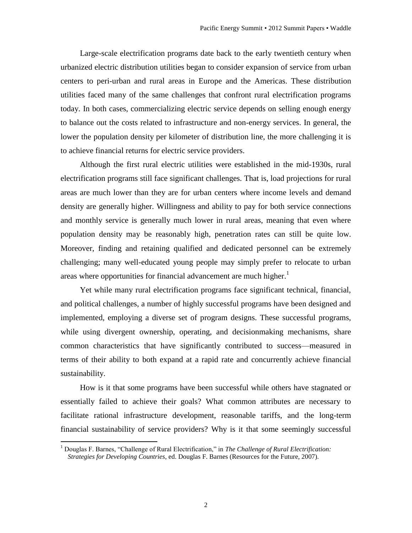Large-scale electrification programs date back to the early twentieth century when urbanized electric distribution utilities began to consider expansion of service from urban centers to peri-urban and rural areas in Europe and the Americas. These distribution utilities faced many of the same challenges that confront rural electrification programs today. In both cases, commercializing electric service depends on selling enough energy to balance out the costs related to infrastructure and non-energy services. In general, the lower the population density per kilometer of distribution line, the more challenging it is to achieve financial returns for electric service providers.

Although the first rural electric utilities were established in the mid-1930s, rural electrification programs still face significant challenges. That is, load projections for rural areas are much lower than they are for urban centers where income levels and demand density are generally higher. Willingness and ability to pay for both service connections and monthly service is generally much lower in rural areas, meaning that even where population density may be reasonably high, penetration rates can still be quite low. Moreover, finding and retaining qualified and dedicated personnel can be extremely challenging; many well-educated young people may simply prefer to relocate to urban areas where opportunities for financial advancement are much higher.<sup>1</sup>

Yet while many rural electrification programs face significant technical, financial, and political challenges, a number of highly successful programs have been designed and implemented, employing a diverse set of program designs. These successful programs, while using divergent ownership, operating, and decision making mechanisms, share common characteristics that have significantly contributed to success—measured in terms of their ability to both expand at a rapid rate and concurrently achieve financial sustainability.

How is it that some programs have been successful while others have stagnated or essentially failed to achieve their goals? What common attributes are necessary to facilitate rational infrastructure development, reasonable tariffs, and the long-term financial sustainability of service providers? Why is it that some seemingly successful

<sup>1</sup> Douglas F. Barnes, "Challenge of Rural Electrification," in *The Challenge of Rural Electrification: Strategies for Developing Countries*, ed. Douglas F. Barnes (Resources for the Future, 2007).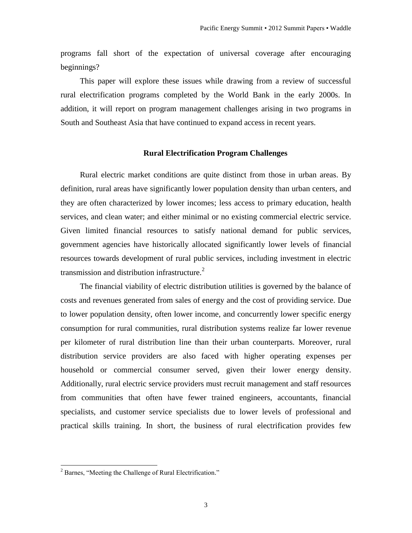programs fall short of the expectation of universal coverage after encouraging beginnings?

This paper will explore these issues while drawing from a review of successful rural electrification programs completed by the World Bank in the early 2000s. In addition, it will report on program management challenges arising in two programs in South and Southeast Asia that have continued to expand access in recent years.

### **Rural Electrification Program Challenges**

Rural electric market conditions are quite distinct from those in urban areas. By definition, rural areas have significantly lower population density than urban centers, and they are often characterized by lower incomes; less access to primary education, health services, and clean water; and either minimal or no existing commercial electric service. Given limited financial resources to satisfy national demand for public services, government agencies have historically allocated significantly lower levels of financial resources towards development of rural public services, including investment in electric transmission and distribution infrastructure. $^{2}$ 

The financial viability of electric distribution utilities is governed by the balance of costs and revenues generated from sales of energy and the cost of providing service. Due to lower population density, often lower income, and concurrently lower specific energy consumption for rural communities, rural distribution systems realize far lower revenue per kilometer of rural distribution line than their urban counterparts. Moreover, rural distribution service providers are also faced with higher operating expenses per household or commercial consumer served, given their lower energy density. Additionally, rural electric service providers must recruit management and staff resources from communities that often have fewer trained engineers, accountants, financial specialists, and customer service specialists due to lower levels of professional and practical skills training. In short, the business of rural electrification provides few

<sup>2</sup> Barnes, "Meeting the Challenge of Rural Electrification."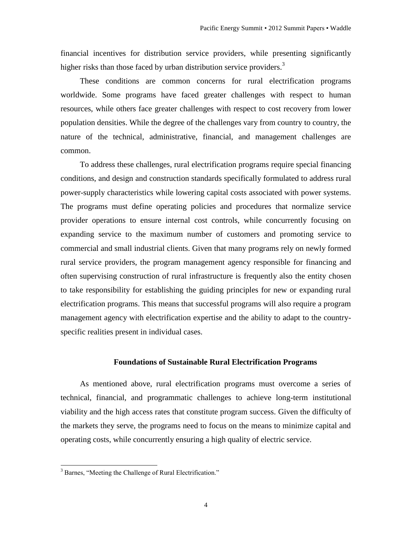financial incentives for distribution service providers, while presenting significantly higher risks than those faced by urban distribution service providers.<sup>3</sup>

These conditions are common concerns for rural electrification programs worldwide. Some programs have faced greater challenges with respect to human resources, while others face greater challenges with respect to cost recovery from lower population densities. While the degree of the challenges vary from country to country, the nature of the technical, administrative, financial, and management challenges are common.

To address these challenges, rural electrification programs require special financing conditions, and design and construction standards specifically formulated to address rural power-supply characteristics while lowering capital costs associated with power systems. The programs must define operating policies and procedures that normalize service provider operations to ensure internal cost controls, while concurrently focusing on expanding service to the maximum number of customers and promoting service to commercial and small industrial clients. Given that many programs rely on newly formed rural service providers, the program management agency responsible for financing and often supervising construction of rural infrastructure is frequently also the entity chosen to take responsibility for establishing the guiding principles for new or expanding rural electrification programs. This means that successful programs will also require a program management agency with electrification expertise and the ability to adapt to the countryspecific realities present in individual cases.

### **Foundations of Sustainable Rural Electrification Programs**

As mentioned above, rural electrification programs must overcome a series of technical, financial, and programmatic challenges to achieve long-term institutional viability and the high access rates that constitute program success. Given the difficulty of the markets they serve, the programs need to focus on the means to minimize capital and operating costs, while concurrently ensuring a high quality of electric service.

<sup>&</sup>lt;sup>3</sup> Barnes, "Meeting the Challenge of Rural Electrification."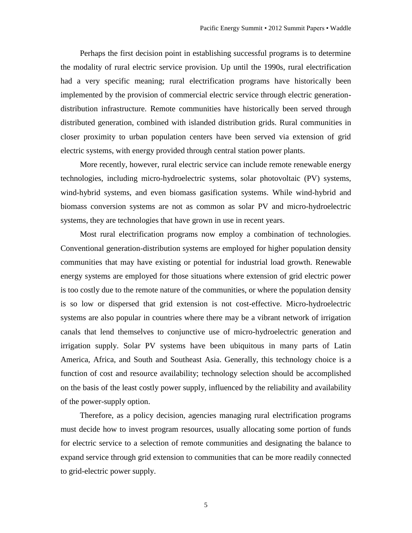Perhaps the first decision point in establishing successful programs is to determine the modality of rural electric service provision. Up until the 1990s, rural electrification had a very specific meaning; rural electrification programs have historically been implemented by the provision of commercial electric service through electric generationdistribution infrastructure. Remote communities have historically been served through distributed generation, combined with islanded distribution grids. Rural communities in closer proximity to urban population centers have been served via extension of grid electric systems, with energy provided through central station power plants.

More recently, however, rural electric service can include remote renewable energy technologies, including micro-hydroelectric systems, solar photovoltaic (PV) systems, wind-hybrid systems, and even biomass gasification systems. While wind-hybrid and biomass conversion systems are not as common as solar PV and micro-hydroelectric systems, they are technologies that have grown in use in recent years.

Most rural electrification programs now employ a combination of technologies. Conventional generation-distribution systems are employed for higher population density communities that may have existing or potential for industrial load growth. Renewable energy systems are employed for those situations where extension of grid electric power is too costly due to the remote nature of the communities, or where the population density is so low or dispersed that grid extension is not cost-effective. Micro-hydroelectric systems are also popular in countries where there may be a vibrant network of irrigation canals that lend themselves to conjunctive use of micro-hydroelectric generation and irrigation supply. Solar PV systems have been ubiquitous in many parts of Latin America, Africa, and South and Southeast Asia. Generally, this technology choice is a function of cost and resource availability; technology selection should be accomplished on the basis of the least costly power supply, influenced by the reliability and availability of the power-supply option.

Therefore, as a policy decision, agencies managing rural electrification programs must decide how to invest program resources, usually allocating some portion of funds for electric service to a selection of remote communities and designating the balance to expand service through grid extension to communities that can be more readily connected to grid-electric power supply.

5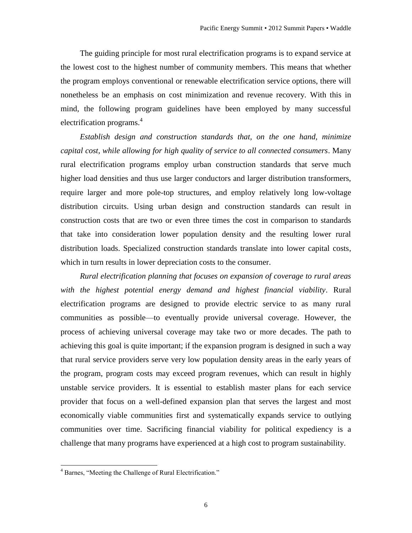The guiding principle for most rural electrification programs is to expand service at the lowest cost to the highest number of community members. This means that whether the program employs conventional or renewable electrification service options, there will nonetheless be an emphasis on cost minimization and revenue recovery. With this in mind, the following program guidelines have been employed by many successful electrification programs. 4

*Establish design and construction standards that, on the one hand, minimize capital cost, while allowing for high quality of service to all connected consumers*. Many rural electrification programs employ urban construction standards that serve much higher load densities and thus use larger conductors and larger distribution transformers, require larger and more pole-top structures, and employ relatively long low-voltage distribution circuits. Using urban design and construction standards can result in construction costs that are two or even three times the cost in comparison to standards that take into consideration lower population density and the resulting lower rural distribution loads. Specialized construction standards translate into lower capital costs, which in turn results in lower depreciation costs to the consumer.

*Rural electrification planning that focuses on expansion of coverage to rural areas with the highest potential energy demand and highest financial viability*. Rural electrification programs are designed to provide electric service to as many rural communities as possible—to eventually provide universal coverage. However, the process of achieving universal coverage may take two or more decades. The path to achieving this goal is quite important; if the expansion program is designed in such a way that rural service providers serve very low population density areas in the early years of the program, program costs may exceed program revenues, which can result in highly unstable service providers. It is essential to establish master plans for each service provider that focus on a well-defined expansion plan that serves the largest and most economically viable communities first and systematically expands service to outlying communities over time. Sacrificing financial viability for political expediency is a challenge that many programs have experienced at a high cost to program sustainability.

<sup>4</sup> Barnes, "Meeting the Challenge of Rural Electrification."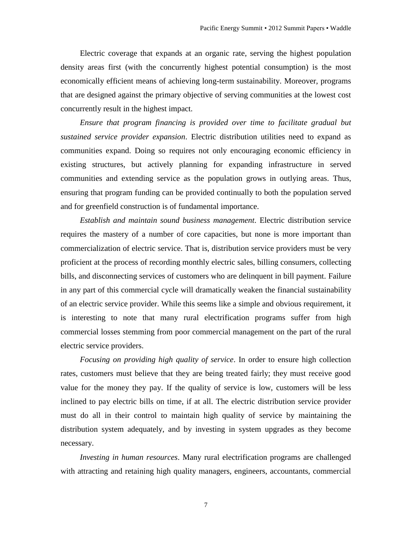Electric coverage that expands at an organic rate, serving the highest population density areas first (with the concurrently highest potential consumption) is the most economically efficient means of achieving long-term sustainability. Moreover, programs that are designed against the primary objective of serving communities at the lowest cost concurrently result in the highest impact.

*Ensure that program financing is provided over time to facilitate gradual but sustained service provider expansion*. Electric distribution utilities need to expand as communities expand. Doing so requires not only encouraging economic efficiency in existing structures, but actively planning for expanding infrastructure in served communities and extending service as the population grows in outlying areas. Thus, ensuring that program funding can be provided continually to both the population served and for greenfield construction is of fundamental importance.

*Establish and maintain sound business management*. Electric distribution service requires the mastery of a number of core capacities, but none is more important than commercialization of electric service. That is, distribution service providers must be very proficient at the process of recording monthly electric sales, billing consumers, collecting bills, and disconnecting services of customers who are delinquent in bill payment. Failure in any part of this commercial cycle will dramatically weaken the financial sustainability of an electric service provider. While this seems like a simple and obvious requirement, it is interesting to note that many rural electrification programs suffer from high commercial losses stemming from poor commercial management on the part of the rural electric service providers.

*Focusing on providing high quality of service*. In order to ensure high collection rates, customers must believe that they are being treated fairly; they must receive good value for the money they pay. If the quality of service is low, customers will be less inclined to pay electric bills on time, if at all. The electric distribution service provider must do all in their control to maintain high quality of service by maintaining the distribution system adequately, and by investing in system upgrades as they become necessary.

*Investing in human resources*. Many rural electrification programs are challenged with attracting and retaining high quality managers, engineers, accountants, commercial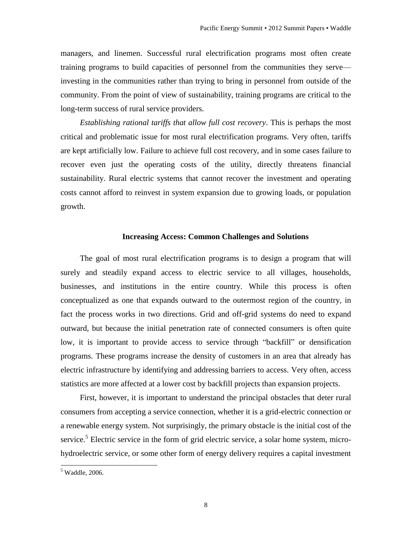managers, and linemen. Successful rural electrification programs most often create training programs to build capacities of personnel from the communities they serve investing in the communities rather than trying to bring in personnel from outside of the community. From the point of view of sustainability, training programs are critical to the long-term success of rural service providers.

*Establishing rational tariffs that allow full cost recovery*. This is perhaps the most critical and problematic issue for most rural electrification programs. Very often, tariffs are kept artificially low. Failure to achieve full cost recovery, and in some cases failure to recover even just the operating costs of the utility, directly threatens financial sustainability. Rural electric systems that cannot recover the investment and operating costs cannot afford to reinvest in system expansion due to growing loads, or population growth.

### **Increasing Access: Common Challenges and Solutions**

The goal of most rural electrification programs is to design a program that will surely and steadily expand access to electric service to all villages, households, businesses, and institutions in the entire country. While this process is often conceptualized as one that expands outward to the outermost region of the country, in fact the process works in two directions. Grid and off-grid systems do need to expand outward, but because the initial penetration rate of connected consumers is often quite low, it is important to provide access to service through "backfill" or densification programs. These programs increase the density of customers in an area that already has electric infrastructure by identifying and addressing barriers to access. Very often, access statistics are more affected at a lower cost by backfill projects than expansion projects.

First, however, it is important to understand the principal obstacles that deter rural consumers from accepting a service connection, whether it is a grid-electric connection or a renewable energy system. Not surprisingly, the primary obstacle is the initial cost of the service.<sup>5</sup> Electric service in the form of grid electric service, a solar home system, microhydroelectric service, or some other form of energy delivery requires a capital investment

 $<sup>5</sup>$  Waddle, 2006.</sup>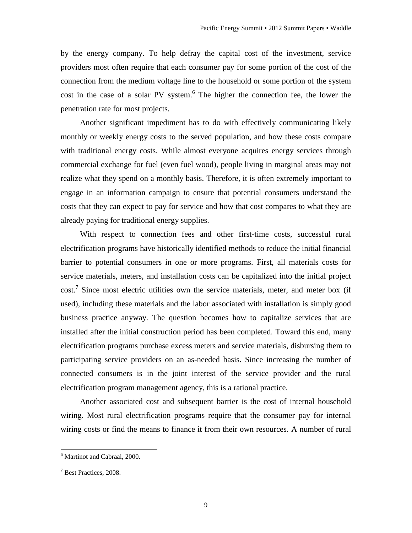by the energy company. To help defray the capital cost of the investment, service providers most often require that each consumer pay for some portion of the cost of the connection from the medium voltage line to the household or some portion of the system cost in the case of a solar PV system. 6 The higher the connection fee, the lower the penetration rate for most projects.

Another significant impediment has to do with effectively communicating likely monthly or weekly energy costs to the served population, and how these costs compare with traditional energy costs. While almost everyone acquires energy services through commercial exchange for fuel (even fuel wood), people living in marginal areas may not realize what they spend on a monthly basis. Therefore, it is often extremely important to engage in an information campaign to ensure that potential consumers understand the costs that they can expect to pay for service and how that cost compares to what they are already paying for traditional energy supplies.

With respect to connection fees and other first-time costs, successful rural electrification programs have historically identified methods to reduce the initial financial barrier to potential consumers in one or more programs. First, all materials costs for service materials, meters, and installation costs can be capitalized into the initial project  $\text{cost.}^7$  Since most electric utilities own the service materials, meter, and meter box (if used), including these materials and the labor associated with installation is simply good business practice anyway. The question becomes how to capitalize services that are installed after the initial construction period has been completed. Toward this end, many electrification programs purchase excess meters and service materials, disbursing them to participating service providers on an as-needed basis. Since increasing the number of connected consumers is in the joint interest of the service provider and the rural electrification program management agency, this is a rational practice.

Another associated cost and subsequent barrier is the cost of internal household wiring. Most rural electrification programs require that the consumer pay for internal wiring costs or find the means to finance it from their own resources. A number of rural

<sup>&</sup>lt;sup>6</sup> Martinot and Cabraal, 2000.

<sup>7</sup> Best Practices, 2008.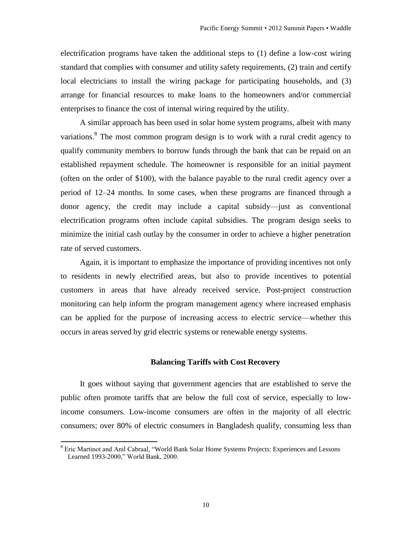electrification programs have taken the additional steps to (1) define a low-cost wiring standard that complies with consumer and utility safety requirements, (2) train and certify local electricians to install the wiring package for participating households, and (3) arrange for financial resources to make loans to the homeowners and/or commercial enterprises to finance the cost of internal wiring required by the utility.

A similar approach has been used in solar home system programs, albeit with many variations.<sup>8</sup> The most common program design is to work with a rural credit agency to qualify community members to borrow funds through the bank that can be repaid on an established repayment schedule. The homeowner is responsible for an initial payment (often on the order of \$100), with the balance payable to the rural credit agency over a period of 12–24 months. In some cases, when these programs are financed through a donor agency, the credit may include a capital subsidy—just as conventional electrification programs often include capital subsidies. The program design seeks to minimize the initial cash outlay by the consumer in order to achieve a higher penetration rate of served customers.

Again, it is important to emphasize the importance of providing incentives not only to residents in newly electrified areas, but also to provide incentives to potential customers in areas that have already received service. Post-project construction monitoring can help inform the program management agency where increased emphasis can be applied for the purpose of increasing access to electric service—whether this occurs in areas served by grid electric systems or renewable energy systems.

#### **Balancing Tariffs with Cost Recovery**

It goes without saying that government agencies that are established to serve the public often promote tariffs that are below the full cost of service, especially to lowincome consumers. Low-income consumers are often in the majority of all electric consumers; over 80% of electric consumers in Bangladesh qualify, consuming less than

<sup>8</sup> Eric Martinot and Anil Cabraal, "World Bank Solar Home Systems Projects: Experiences and Lessons Learned 1993-2000," World Bank, 2000.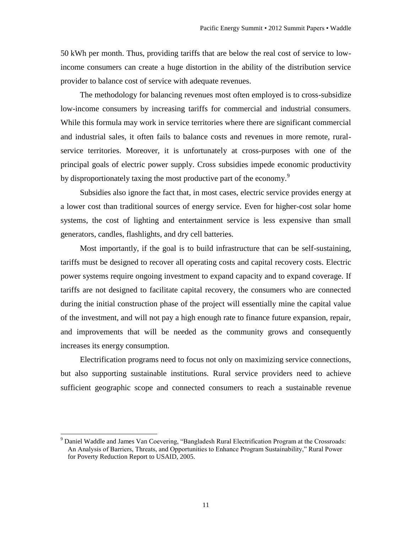50 kWh per month. Thus, providing tariffs that are below the real cost of service to lowincome consumers can create a huge distortion in the ability of the distribution service provider to balance cost of service with adequate revenues.

The methodology for balancing revenues most often employed is to cross-subsidize low-income consumers by increasing tariffs for commercial and industrial consumers. While this formula may work in service territories where there are significant commercial and industrial sales, it often fails to balance costs and revenues in more remote, ruralservice territories. Moreover, it is unfortunately at cross-purposes with one of the principal goals of electric power supply. Cross subsidies impede economic productivity by disproportionately taxing the most productive part of the economy.<sup>9</sup>

Subsidies also ignore the fact that, in most cases, electric service provides energy at a lower cost than traditional sources of energy service. Even for higher-cost solar home systems, the cost of lighting and entertainment service is less expensive than small generators, candles, flashlights, and dry cell batteries.

Most importantly, if the goal is to build infrastructure that can be self-sustaining, tariffs must be designed to recover all operating costs and capital recovery costs. Electric power systems require ongoing investment to expand capacity and to expand coverage. If tariffs are not designed to facilitate capital recovery, the consumers who are connected during the initial construction phase of the project will essentially mine the capital value of the investment, and will not pay a high enough rate to finance future expansion, repair, and improvements that will be needed as the community grows and consequently increases its energy consumption.

Electrification programs need to focus not only on maximizing service connections, but also supporting sustainable institutions. Rural service providers need to achieve sufficient geographic scope and connected consumers to reach a sustainable revenue

<sup>&</sup>lt;sup>9</sup> Daniel Waddle and James Van Coevering, "Bangladesh Rural Electrification Program at the Crossroads: An Analysis of Barriers, Threats, and Opportunities to Enhance Program Sustainability," Rural Power for Poverty Reduction Report to USAID, 2005.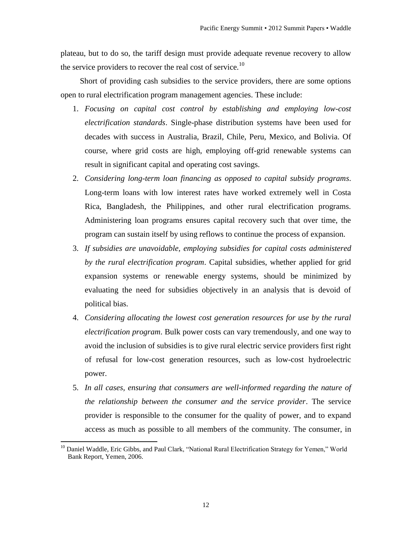plateau, but to do so, the tariff design must provide adequate revenue recovery to allow the service providers to recover the real cost of service.<sup>10</sup>

Short of providing cash subsidies to the service providers, there are some options open to rural electrification program management agencies. These include:

- 1. *Focusing on capital cost control by establishing and employing low-cost electrification standards*. Single-phase distribution systems have been used for decades with success in Australia, Brazil, Chile, Peru, Mexico, and Bolivia. Of course, where grid costs are high, employing off-grid renewable systems can result in significant capital and operating cost savings.
- 2. *Considering long-term loan financing as opposed to capital subsidy programs*. Long-term loans with low interest rates have worked extremely well in Costa Rica, Bangladesh, the Philippines, and other rural electrification programs. Administering loan programs ensures capital recovery such that over time, the program can sustain itself by using reflows to continue the process of expansion.
- 3. *If subsidies are unavoidable, employing subsidies for capital costs administered by the rural electrification program*. Capital subsidies, whether applied for grid expansion systems or renewable energy systems, should be minimized by evaluating the need for subsidies objectively in an analysis that is devoid of political bias.
- 4. *Considering allocating the lowest cost generation resources for use by the rural electrification program*. Bulk power costs can vary tremendously, and one way to avoid the inclusion of subsidies is to give rural electric service providers first right of refusal for low-cost generation resources, such as low-cost hydroelectric power.
- 5. *In all cases, ensuring that consumers are well-informed regarding the nature of the relationship between the consumer and the service provider*. The service provider is responsible to the consumer for the quality of power, and to expand access as much as possible to all members of the community. The consumer, in

<sup>&</sup>lt;sup>10</sup> Daniel Waddle, Eric Gibbs, and Paul Clark, "National Rural Electrification Strategy for Yemen," World Bank Report, Yemen, 2006.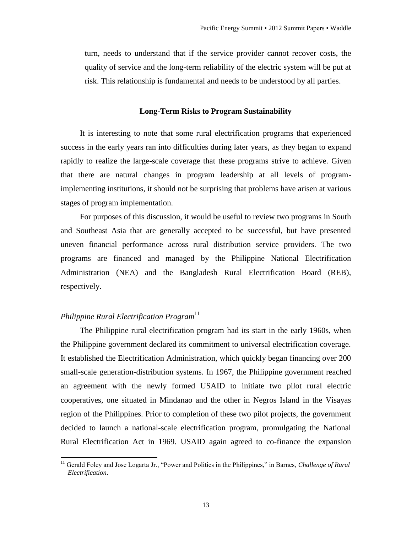turn, needs to understand that if the service provider cannot recover costs, the quality of service and the long-term reliability of the electric system will be put at risk. This relationship is fundamental and needs to be understood by all parties.

### **Long-Term Risks to Program Sustainability**

It is interesting to note that some rural electrification programs that experienced success in the early years ran into difficulties during later years, as they began to expand rapidly to realize the large-scale coverage that these programs strive to achieve. Given that there are natural changes in program leadership at all levels of programimplementing institutions, it should not be surprising that problems have arisen at various stages of program implementation.

For purposes of this discussion, it would be useful to review two programs in South and Southeast Asia that are generally accepted to be successful, but have presented uneven financial performance across rural distribution service providers. The two programs are financed and managed by the Philippine National Electrification Administration (NEA) and the Bangladesh Rural Electrification Board (REB), respectively.

# *Philippine Rural Electrification Program*<sup>11</sup>

l

The Philippine rural electrification program had its start in the early 1960s, when the Philippine government declared its commitment to universal electrification coverage. It established the Electrification Administration, which quickly began financing over 200 small-scale generation-distribution systems. In 1967, the Philippine government reached an agreement with the newly formed USAID to initiate two pilot rural electric cooperatives, one situated in Mindanao and the other in Negros Island in the Visayas region of the Philippines. Prior to completion of these two pilot projects, the government decided to launch a national-scale electrification program, promulgating the National Rural Electrification Act in 1969. USAID again agreed to co-finance the expansion

<sup>&</sup>lt;sup>11</sup> Gerald Foley and Jose Logarta Jr., "Power and Politics in the Philippines," in Barnes, *Challenge of Rural Electrification*.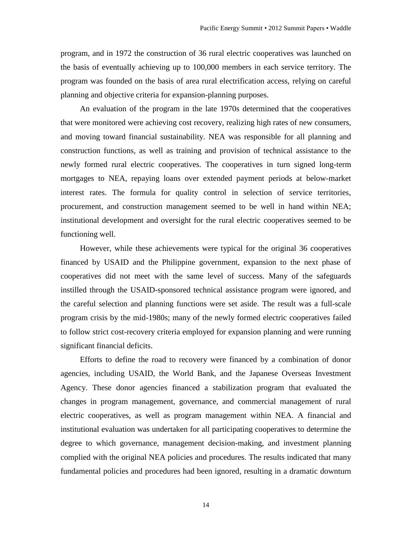program, and in 1972 the construction of 36 rural electric cooperatives was launched on the basis of eventually achieving up to 100,000 members in each service territory. The program was founded on the basis of area rural electrification access, relying on careful planning and objective criteria for expansion-planning purposes.

An evaluation of the program in the late 1970s determined that the cooperatives that were monitored were achieving cost recovery, realizing high rates of new consumers, and moving toward financial sustainability. NEA was responsible for all planning and construction functions, as well as training and provision of technical assistance to the newly formed rural electric cooperatives. The cooperatives in turn signed long-term mortgages to NEA, repaying loans over extended payment periods at below-market interest rates. The formula for quality control in selection of service territories, procurement, and construction management seemed to be well in hand within NEA; institutional development and oversight for the rural electric cooperatives seemed to be functioning well.

However, while these achievements were typical for the original 36 cooperatives financed by USAID and the Philippine government, expansion to the next phase of cooperatives did not meet with the same level of success. Many of the safeguards instilled through the USAID-sponsored technical assistance program were ignored, and the careful selection and planning functions were set aside. The result was a full-scale program crisis by the mid-1980s; many of the newly formed electric cooperatives failed to follow strict cost-recovery criteria employed for expansion planning and were running significant financial deficits.

Efforts to define the road to recovery were financed by a combination of donor agencies, including USAID, the World Bank, and the Japanese Overseas Investment Agency. These donor agencies financed a stabilization program that evaluated the changes in program management, governance, and commercial management of rural electric cooperatives, as well as program management within NEA. A financial and institutional evaluation was undertaken for all participating cooperatives to determine the degree to which governance, management decision-making, and investment planning complied with the original NEA policies and procedures. The results indicated that many fundamental policies and procedures had been ignored, resulting in a dramatic downturn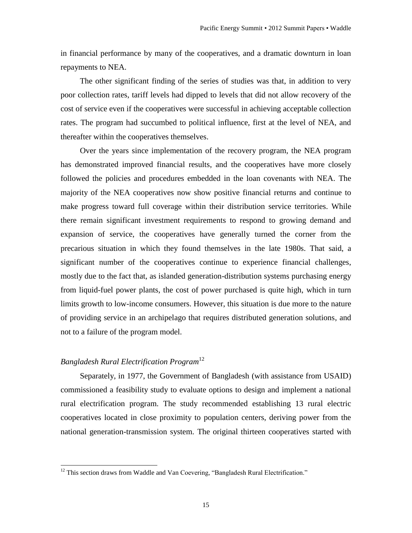in financial performance by many of the cooperatives, and a dramatic downturn in loan repayments to NEA.

The other significant finding of the series of studies was that, in addition to very poor collection rates, tariff levels had dipped to levels that did not allow recovery of the cost of service even if the cooperatives were successful in achieving acceptable collection rates. The program had succumbed to political influence, first at the level of NEA, and thereafter within the cooperatives themselves.

Over the years since implementation of the recovery program, the NEA program has demonstrated improved financial results, and the cooperatives have more closely followed the policies and procedures embedded in the loan covenants with NEA. The majority of the NEA cooperatives now show positive financial returns and continue to make progress toward full coverage within their distribution service territories. While there remain significant investment requirements to respond to growing demand and expansion of service, the cooperatives have generally turned the corner from the precarious situation in which they found themselves in the late 1980s. That said, a significant number of the cooperatives continue to experience financial challenges, mostly due to the fact that, as islanded generation-distribution systems purchasing energy from liquid-fuel power plants, the cost of power purchased is quite high, which in turn limits growth to low-income consumers. However, this situation is due more to the nature of providing service in an archipelago that requires distributed generation solutions, and not to a failure of the program model.

# *Bangladesh Rural Electrification Program*<sup>12</sup>

 $\overline{a}$ 

Separately, in 1977, the Government of Bangladesh (with assistance from USAID) commissioned a feasibility study to evaluate options to design and implement a national rural electrification program. The study recommended establishing 13 rural electric cooperatives located in close proximity to population centers, deriving power from the national generation-transmission system. The original thirteen cooperatives started with

 $12$  This section draws from Waddle and Van Coevering, "Bangladesh Rural Electrification."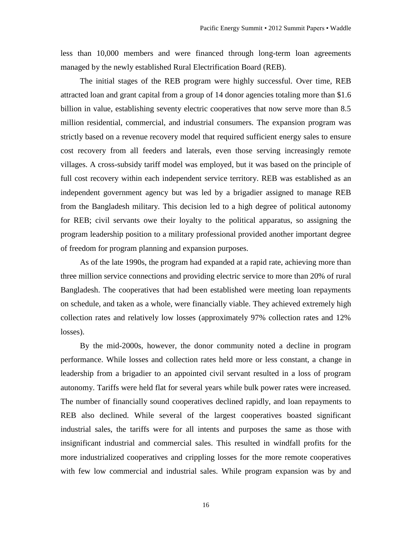less than 10,000 members and were financed through long-term loan agreements managed by the newly established Rural Electrification Board (REB).

The initial stages of the REB program were highly successful. Over time, REB attracted loan and grant capital from a group of 14 donor agencies totaling more than \$1.6 billion in value, establishing seventy electric cooperatives that now serve more than 8.5 million residential, commercial, and industrial consumers. The expansion program was strictly based on a revenue recovery model that required sufficient energy sales to ensure cost recovery from all feeders and laterals, even those serving increasingly remote villages. A cross-subsidy tariff model was employed, but it was based on the principle of full cost recovery within each independent service territory. REB was established as an independent government agency but was led by a brigadier assigned to manage REB from the Bangladesh military. This decision led to a high degree of political autonomy for REB; civil servants owe their loyalty to the political apparatus, so assigning the program leadership position to a military professional provided another important degree of freedom for program planning and expansion purposes.

As of the late 1990s, the program had expanded at a rapid rate, achieving more than three million service connections and providing electric service to more than 20% of rural Bangladesh. The cooperatives that had been established were meeting loan repayments on schedule, and taken as a whole, were financially viable. They achieved extremely high collection rates and relatively low losses (approximately 97% collection rates and 12% losses).

By the mid-2000s, however, the donor community noted a decline in program performance. While losses and collection rates held more or less constant, a change in leadership from a brigadier to an appointed civil servant resulted in a loss of program autonomy. Tariffs were held flat for several years while bulk power rates were increased. The number of financially sound cooperatives declined rapidly, and loan repayments to REB also declined. While several of the largest cooperatives boasted significant industrial sales, the tariffs were for all intents and purposes the same as those with insignificant industrial and commercial sales. This resulted in windfall profits for the more industrialized cooperatives and crippling losses for the more remote cooperatives with few low commercial and industrial sales. While program expansion was by and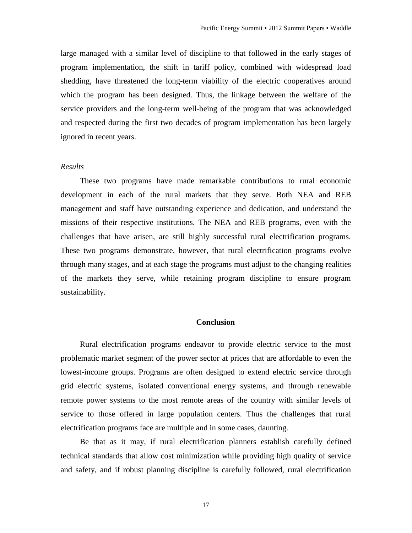large managed with a similar level of discipline to that followed in the early stages of program implementation, the shift in tariff policy, combined with widespread load shedding, have threatened the long-term viability of the electric cooperatives around which the program has been designed. Thus, the linkage between the welfare of the service providers and the long-term well-being of the program that was acknowledged and respected during the first two decades of program implementation has been largely ignored in recent years.

### *Results*

These two programs have made remarkable contributions to rural economic development in each of the rural markets that they serve. Both NEA and REB management and staff have outstanding experience and dedication, and understand the missions of their respective institutions. The NEA and REB programs, even with the challenges that have arisen, are still highly successful rural electrification programs. These two programs demonstrate, however, that rural electrification programs evolve through many stages, and at each stage the programs must adjust to the changing realities of the markets they serve, while retaining program discipline to ensure program sustainability.

# **Conclusion**

Rural electrification programs endeavor to provide electric service to the most problematic market segment of the power sector at prices that are affordable to even the lowest-income groups. Programs are often designed to extend electric service through grid electric systems, isolated conventional energy systems, and through renewable remote power systems to the most remote areas of the country with similar levels of service to those offered in large population centers. Thus the challenges that rural electrification programs face are multiple and in some cases, daunting.

Be that as it may, if rural electrification planners establish carefully defined technical standards that allow cost minimization while providing high quality of service and safety, and if robust planning discipline is carefully followed, rural electrification